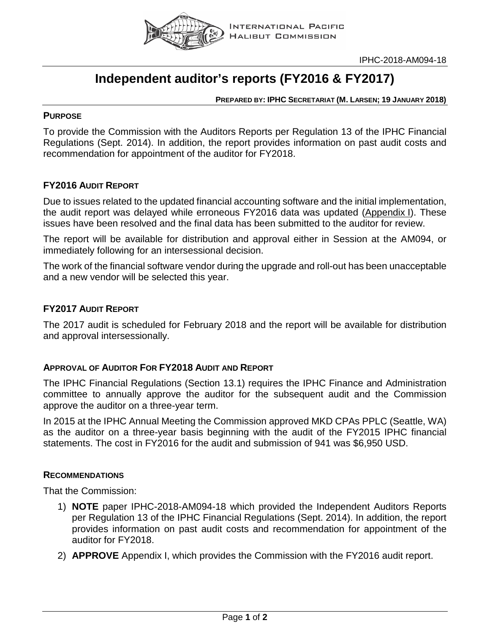

# **Independent auditor's reports (FY2016 & FY2017)**

#### **PREPARED BY: IPHC SECRETARIAT (M. LARSEN; 19 JANUARY 2018)**

#### **PURPOSE**

To provide the Commission with the Auditors Reports per Regulation 13 of the IPHC Financial Regulations (Sept. 2014). In addition, the report provides information on past audit costs and recommendation for appointment of the auditor for FY2018.

### **FY2016 AUDIT REPORT**

Due to issues related to the updated financial accounting software and the initial implementation, the audit report was delayed while erroneous FY2016 data was updated (Appendix I). These issues have been resolved and the final data has been submitted to the auditor for review.

The report will be available for distribution and approval either in Session at the AM094, or immediately following for an intersessional decision.

The work of the financial software vendor during the upgrade and roll-out has been unacceptable and a new vendor will be selected this year.

#### **FY2017 AUDIT REPORT**

The 2017 audit is scheduled for February 2018 and the report will be available for distribution and approval intersessionally.

#### **APPROVAL OF AUDITOR FOR FY2018 AUDIT AND REPORT**

The IPHC Financial Regulations (Section 13.1) requires the IPHC Finance and Administration committee to annually approve the auditor for the subsequent audit and the Commission approve the auditor on a three-year term.

In 2015 at the IPHC Annual Meeting the Commission approved MKD CPAs PPLC (Seattle, WA) as the auditor on a three-year basis beginning with the audit of the FY2015 IPHC financial statements. The cost in FY2016 for the audit and submission of 941 was \$6,950 USD.

#### **RECOMMENDATIONS**

That the Commission:

- 1) **NOTE** paper IPHC-2018-AM094-18 which provided the Independent Auditors Reports per Regulation 13 of the IPHC Financial Regulations (Sept. 2014). In addition, the report provides information on past audit costs and recommendation for appointment of the auditor for FY2018.
- 2) **APPROVE** Appendix I, which provides the Commission with the FY2016 audit report.